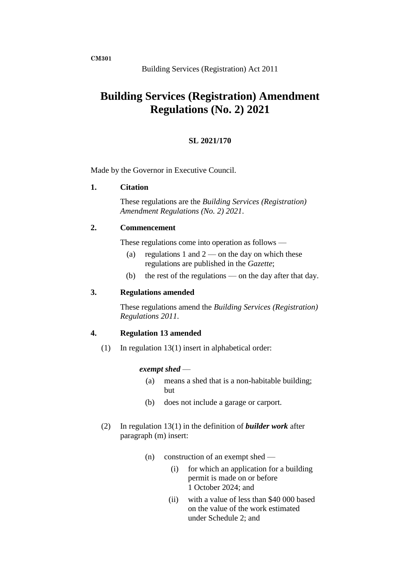**CM301**

# **Building Services (Registration) Amendment Regulations (No. 2) 2021**

# **SL 2021/170**

Made by the Governor in Executive Council.

#### **1. Citation**

These regulations are the *Building Services (Registration) Amendment Regulations (No. 2) 2021*.

# **2. Commencement**

These regulations come into operation as follows —

- (a) regulations 1 and  $2$  on the day on which these regulations are published in the *Gazette*;
- (b) the rest of the regulations on the day after that day.

## **3. Regulations amended**

These regulations amend the *Building Services (Registration) Regulations 2011*.

## **4. Regulation 13 amended**

(1) In regulation 13(1) insert in alphabetical order:

#### *exempt shed* —

- (a) means a shed that is a non-habitable building; but
- (b) does not include a garage or carport.
- (2) In regulation 13(1) in the definition of *builder work* after paragraph (m) insert:
	- (n) construction of an exempt shed
		- (i) for which an application for a building permit is made on or before 1 October 2024; and
		- (ii) with a value of less than \$40 000 based on the value of the work estimated under Schedule 2; and